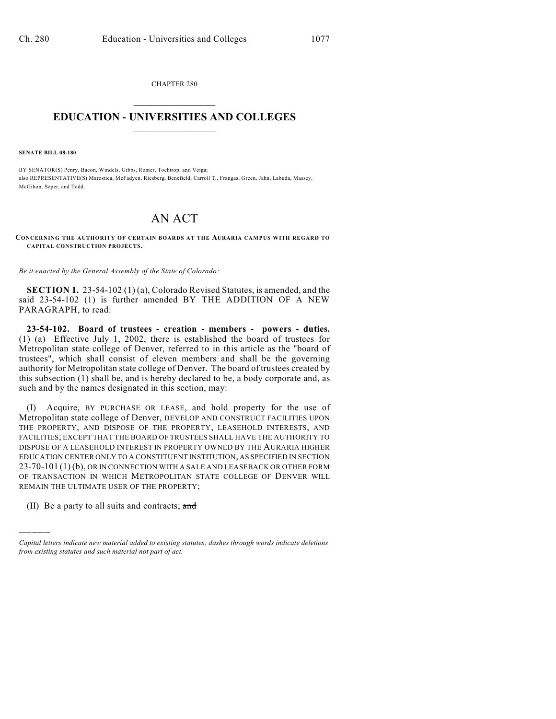CHAPTER 280  $\overline{\phantom{a}}$  . The set of the set of the set of the set of the set of the set of the set of the set of the set of the set of the set of the set of the set of the set of the set of the set of the set of the set of the set o

## **EDUCATION - UNIVERSITIES AND COLLEGES**  $\_$

**SENATE BILL 08-180**

BY SENATOR(S) Penry, Bacon, Windels, Gibbs, Romer, Tochtrop, and Veiga; also REPRESENTATIVE(S) Marostica, McFadyen, Riesberg, Benefield, Carroll T., Frangas, Green, Jahn, Labuda, Massey, McGihon, Soper, and Todd.

## AN ACT

**CONCERNING THE AUTHORITY OF CERTAIN BOARDS AT THE AURARIA CAMPUS WITH REGARD TO CAPITAL CONSTRUCTION PROJECTS.**

*Be it enacted by the General Assembly of the State of Colorado:*

**SECTION 1.** 23-54-102 (1) (a), Colorado Revised Statutes, is amended, and the said 23-54-102 (1) is further amended BY THE ADDITION OF A NEW PARAGRAPH, to read:

**23-54-102. Board of trustees - creation - members - powers - duties.** (1) (a) Effective July 1, 2002, there is established the board of trustees for Metropolitan state college of Denver, referred to in this article as the "board of trustees", which shall consist of eleven members and shall be the governing authority for Metropolitan state college of Denver. The board of trustees created by this subsection (1) shall be, and is hereby declared to be, a body corporate and, as such and by the names designated in this section, may:

(I) Acquire, BY PURCHASE OR LEASE, and hold property for the use of Metropolitan state college of Denver, DEVELOP AND CONSTRUCT FACILITIES UPON THE PROPERTY, AND DISPOSE OF THE PROPERTY, LEASEHOLD INTERESTS, AND FACILITIES; EXCEPT THAT THE BOARD OF TRUSTEES SHALL HAVE THE AUTHORITY TO DISPOSE OF A LEASEHOLD INTEREST IN PROPERTY OWNED BY THE AURARIA HIGHER EDUCATION CENTER ONLY TO A CONSTITUENT INSTITUTION, AS SPECIFIED IN SECTION 23-70-101 (1) (b), OR IN CONNECTION WITH A SALE AND LEASEBACK OR OTHER FORM OF TRANSACTION IN WHICH METROPOLITAN STATE COLLEGE OF DENVER WILL REMAIN THE ULTIMATE USER OF THE PROPERTY;

(II) Be a party to all suits and contracts; and

)))))

*Capital letters indicate new material added to existing statutes; dashes through words indicate deletions from existing statutes and such material not part of act.*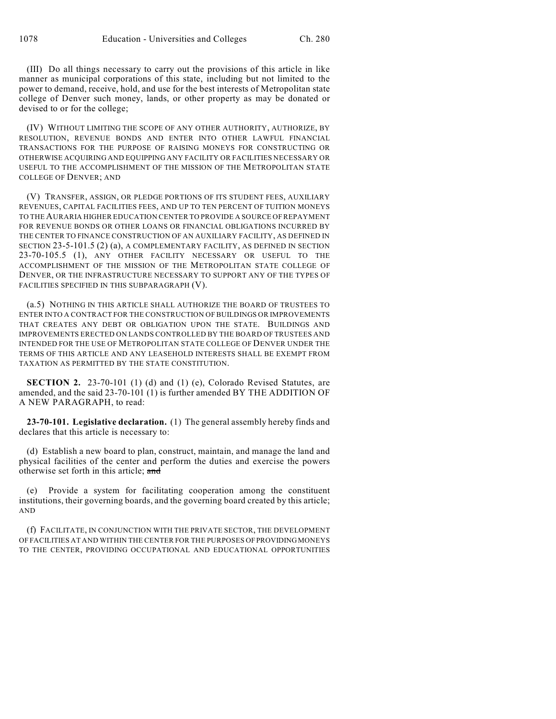(III) Do all things necessary to carry out the provisions of this article in like manner as municipal corporations of this state, including but not limited to the power to demand, receive, hold, and use for the best interests of Metropolitan state college of Denver such money, lands, or other property as may be donated or devised to or for the college;

(IV) WITHOUT LIMITING THE SCOPE OF ANY OTHER AUTHORITY, AUTHORIZE, BY RESOLUTION, REVENUE BONDS AND ENTER INTO OTHER LAWFUL FINANCIAL TRANSACTIONS FOR THE PURPOSE OF RAISING MONEYS FOR CONSTRUCTING OR OTHERWISE ACQUIRING AND EQUIPPING ANY FACILITY OR FACILITIES NECESSARY OR USEFUL TO THE ACCOMPLISHMENT OF THE MISSION OF THE METROPOLITAN STATE COLLEGE OF DENVER; AND

(V) TRANSFER, ASSIGN, OR PLEDGE PORTIONS OF ITS STUDENT FEES, AUXILIARY REVENUES, CAPITAL FACILITIES FEES, AND UP TO TEN PERCENT OF TUITION MONEYS TO THE AURARIA HIGHER EDUCATION CENTER TO PROVIDE A SOURCE OF REPAYMENT FOR REVENUE BONDS OR OTHER LOANS OR FINANCIAL OBLIGATIONS INCURRED BY THE CENTER TO FINANCE CONSTRUCTION OF AN AUXILIARY FACILITY, AS DEFINED IN SECTION 23-5-101.5 (2) (a), A COMPLEMENTARY FACILITY, AS DEFINED IN SECTION 23-70-105.5 (1), ANY OTHER FACILITY NECESSARY OR USEFUL TO THE ACCOMPLISHMENT OF THE MISSION OF THE METROPOLITAN STATE COLLEGE OF DENVER, OR THE INFRASTRUCTURE NECESSARY TO SUPPORT ANY OF THE TYPES OF FACILITIES SPECIFIED IN THIS SUBPARAGRAPH (V).

(a.5) NOTHING IN THIS ARTICLE SHALL AUTHORIZE THE BOARD OF TRUSTEES TO ENTER INTO A CONTRACT FOR THE CONSTRUCTION OF BUILDINGS OR IMPROVEMENTS THAT CREATES ANY DEBT OR OBLIGATION UPON THE STATE. BUILDINGS AND IMPROVEMENTS ERECTED ON LANDS CONTROLLED BY THE BOARD OF TRUSTEES AND INTENDED FOR THE USE OF METROPOLITAN STATE COLLEGE OF DENVER UNDER THE TERMS OF THIS ARTICLE AND ANY LEASEHOLD INTERESTS SHALL BE EXEMPT FROM TAXATION AS PERMITTED BY THE STATE CONSTITUTION.

**SECTION 2.** 23-70-101 (1) (d) and (1) (e), Colorado Revised Statutes, are amended, and the said 23-70-101 (1) is further amended BY THE ADDITION OF A NEW PARAGRAPH, to read:

**23-70-101. Legislative declaration.** (1) The general assembly hereby finds and declares that this article is necessary to:

(d) Establish a new board to plan, construct, maintain, and manage the land and physical facilities of the center and perform the duties and exercise the powers otherwise set forth in this article; and

(e) Provide a system for facilitating cooperation among the constituent institutions, their governing boards, and the governing board created by this article; AND

(f) FACILITATE, IN CONJUNCTION WITH THE PRIVATE SECTOR, THE DEVELOPMENT OF FACILITIES AT AND WITHIN THE CENTER FOR THE PURPOSES OF PROVIDING MONEYS TO THE CENTER, PROVIDING OCCUPATIONAL AND EDUCATIONAL OPPORTUNITIES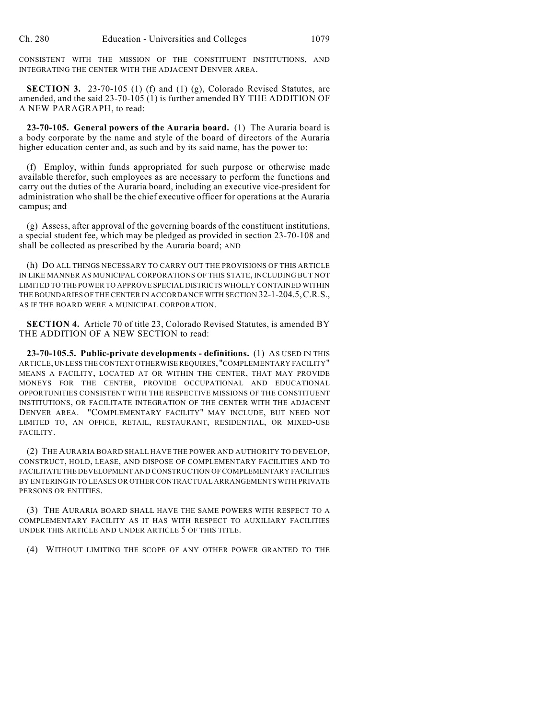CONSISTENT WITH THE MISSION OF THE CONSTITUENT INSTITUTIONS, AND INTEGRATING THE CENTER WITH THE ADJACENT DENVER AREA.

**SECTION 3.** 23-70-105 (1) (f) and (1) (g), Colorado Revised Statutes, are amended, and the said 23-70-105 (1) is further amended BY THE ADDITION OF A NEW PARAGRAPH, to read:

**23-70-105. General powers of the Auraria board.** (1) The Auraria board is a body corporate by the name and style of the board of directors of the Auraria higher education center and, as such and by its said name, has the power to:

(f) Employ, within funds appropriated for such purpose or otherwise made available therefor, such employees as are necessary to perform the functions and carry out the duties of the Auraria board, including an executive vice-president for administration who shall be the chief executive officer for operations at the Auraria campus; and

(g) Assess, after approval of the governing boards of the constituent institutions, a special student fee, which may be pledged as provided in section 23-70-108 and shall be collected as prescribed by the Auraria board; AND

(h) DO ALL THINGS NECESSARY TO CARRY OUT THE PROVISIONS OF THIS ARTICLE IN LIKE MANNER AS MUNICIPAL CORPORATIONS OF THIS STATE, INCLUDING BUT NOT LIMITED TO THE POWER TO APPROVE SPECIAL DISTRICTS WHOLLY CONTAINED WITHIN THE BOUNDARIES OF THE CENTER IN ACCORDANCE WITH SECTION 32-1-204.5,C.R.S., AS IF THE BOARD WERE A MUNICIPAL CORPORATION.

**SECTION 4.** Article 70 of title 23, Colorado Revised Statutes, is amended BY THE ADDITION OF A NEW SECTION to read:

**23-70-105.5. Public-private developments - definitions.** (1) AS USED IN THIS ARTICLE, UNLESS THE CONTEXT OTHERWISE REQUIRES, "COMPLEMENTARY FACILITY" MEANS A FACILITY, LOCATED AT OR WITHIN THE CENTER, THAT MAY PROVIDE MONEYS FOR THE CENTER, PROVIDE OCCUPATIONAL AND EDUCATIONAL OPPORTUNITIES CONSISTENT WITH THE RESPECTIVE MISSIONS OF THE CONSTITUENT INSTITUTIONS, OR FACILITATE INTEGRATION OF THE CENTER WITH THE ADJACENT DENVER AREA. "COMPLEMENTARY FACILITY" MAY INCLUDE, BUT NEED NOT LIMITED TO, AN OFFICE, RETAIL, RESTAURANT, RESIDENTIAL, OR MIXED-USE FACILITY.

(2) THE AURARIA BOARD SHALL HAVE THE POWER AND AUTHORITY TO DEVELOP, CONSTRUCT, HOLD, LEASE, AND DISPOSE OF COMPLEMENTARY FACILITIES AND TO FACILITATE THE DEVELOPMENT AND CONSTRUCTION OF COMPLEMENTARY FACILITIES BY ENTERING INTO LEASES OR OTHER CONTRACTUAL ARRANGEMENTS WITH PRIVATE PERSONS OR ENTITIES.

(3) THE AURARIA BOARD SHALL HAVE THE SAME POWERS WITH RESPECT TO A COMPLEMENTARY FACILITY AS IT HAS WITH RESPECT TO AUXILIARY FACILITIES UNDER THIS ARTICLE AND UNDER ARTICLE 5 OF THIS TITLE.

(4) WITHOUT LIMITING THE SCOPE OF ANY OTHER POWER GRANTED TO THE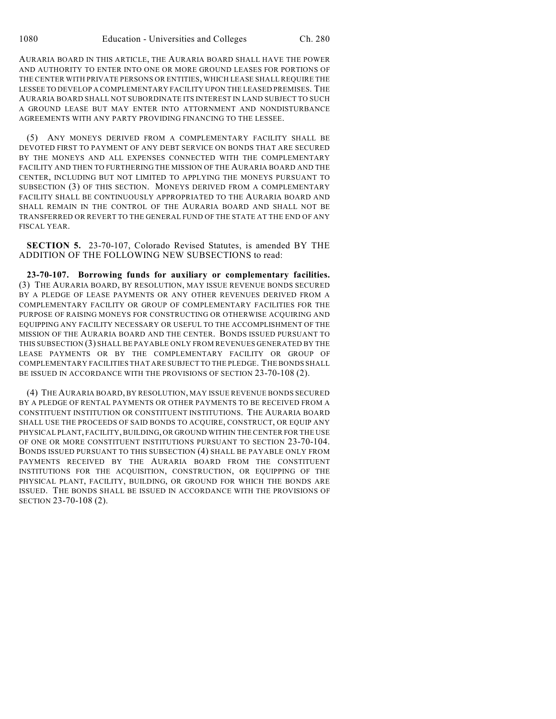AURARIA BOARD IN THIS ARTICLE, THE AURARIA BOARD SHALL HAVE THE POWER AND AUTHORITY TO ENTER INTO ONE OR MORE GROUND LEASES FOR PORTIONS OF THE CENTER WITH PRIVATE PERSONS OR ENTITIES, WHICH LEASE SHALL REQUIRE THE LESSEE TO DEVELOP A COMPLEMENTARY FACILITY UPON THE LEASED PREMISES. THE AURARIA BOARD SHALL NOT SUBORDINATE ITS INTEREST IN LAND SUBJECT TO SUCH A GROUND LEASE BUT MAY ENTER INTO ATTORNMENT AND NONDISTURBANCE AGREEMENTS WITH ANY PARTY PROVIDING FINANCING TO THE LESSEE.

(5) ANY MONEYS DERIVED FROM A COMPLEMENTARY FACILITY SHALL BE DEVOTED FIRST TO PAYMENT OF ANY DEBT SERVICE ON BONDS THAT ARE SECURED BY THE MONEYS AND ALL EXPENSES CONNECTED WITH THE COMPLEMENTARY FACILITY AND THEN TO FURTHERING THE MISSION OF THE AURARIA BOARD AND THE CENTER, INCLUDING BUT NOT LIMITED TO APPLYING THE MONEYS PURSUANT TO SUBSECTION (3) OF THIS SECTION. MONEYS DERIVED FROM A COMPLEMENTARY FACILITY SHALL BE CONTINUOUSLY APPROPRIATED TO THE AURARIA BOARD AND SHALL REMAIN IN THE CONTROL OF THE AURARIA BOARD AND SHALL NOT BE TRANSFERRED OR REVERT TO THE GENERAL FUND OF THE STATE AT THE END OF ANY FISCAL YEAR.

**SECTION 5.** 23-70-107, Colorado Revised Statutes, is amended BY THE ADDITION OF THE FOLLOWING NEW SUBSECTIONS to read:

**23-70-107. Borrowing funds for auxiliary or complementary facilities.** (3) THE AURARIA BOARD, BY RESOLUTION, MAY ISSUE REVENUE BONDS SECURED BY A PLEDGE OF LEASE PAYMENTS OR ANY OTHER REVENUES DERIVED FROM A COMPLEMENTARY FACILITY OR GROUP OF COMPLEMENTARY FACILITIES FOR THE PURPOSE OF RAISING MONEYS FOR CONSTRUCTING OR OTHERWISE ACQUIRING AND EQUIPPING ANY FACILITY NECESSARY OR USEFUL TO THE ACCOMPLISHMENT OF THE MISSION OF THE AURARIA BOARD AND THE CENTER. BONDS ISSUED PURSUANT TO THIS SUBSECTION (3) SHALL BE PAYABLE ONLY FROM REVENUES GENERATED BY THE LEASE PAYMENTS OR BY THE COMPLEMENTARY FACILITY OR GROUP OF COMPLEMENTARY FACILITIES THAT ARE SUBJECT TO THE PLEDGE. THE BONDS SHALL BE ISSUED IN ACCORDANCE WITH THE PROVISIONS OF SECTION 23-70-108 (2).

(4) THE AURARIA BOARD, BY RESOLUTION, MAY ISSUE REVENUE BONDS SECURED BY A PLEDGE OF RENTAL PAYMENTS OR OTHER PAYMENTS TO BE RECEIVED FROM A CONSTITUENT INSTITUTION OR CONSTITUENT INSTITUTIONS. THE AURARIA BOARD SHALL USE THE PROCEEDS OF SAID BONDS TO ACQUIRE, CONSTRUCT, OR EQUIP ANY PHYSICAL PLANT, FACILITY, BUILDING, OR GROUND WITHIN THE CENTER FOR THE USE OF ONE OR MORE CONSTITUENT INSTITUTIONS PURSUANT TO SECTION 23-70-104. BONDS ISSUED PURSUANT TO THIS SUBSECTION (4) SHALL BE PAYABLE ONLY FROM PAYMENTS RECEIVED BY THE AURARIA BOARD FROM THE CONSTITUENT INSTITUTIONS FOR THE ACQUISITION, CONSTRUCTION, OR EQUIPPING OF THE PHYSICAL PLANT, FACILITY, BUILDING, OR GROUND FOR WHICH THE BONDS ARE ISSUED. THE BONDS SHALL BE ISSUED IN ACCORDANCE WITH THE PROVISIONS OF SECTION 23-70-108 (2).